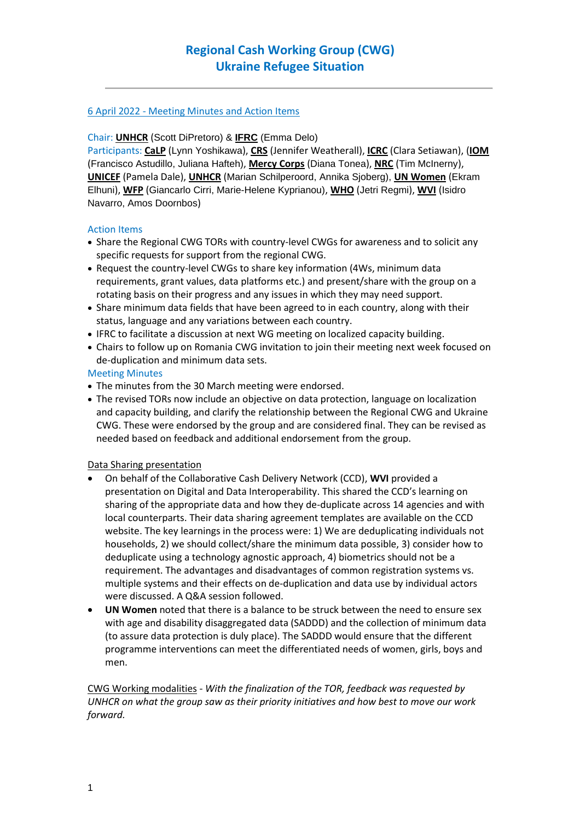## 6 April 2022 - Meeting Minutes and Action Items

#### Chair: **UNHCR** (Scott DiPretoro) & **IFRC** (Emma Delo)

Participants: **CaLP** (Lynn Yoshikawa), **CRS** (Jennifer Weatherall), **ICRC** (Clara Setiawan), (**IOM** (Francisco Astudillo, Juliana Hafteh), **Mercy Corps** (Diana Tonea), **NRC** (Tim McInerny), **UNICEF** (Pamela Dale), **UNHCR** (Marian Schilperoord, Annika Sjoberg), **UN Women** (Ekram Elhuni), **WFP** (Giancarlo Cirri, Marie-Helene Kyprianou), **WHO** (Jetri Regmi), **WVI** (Isidro Navarro, Amos Doornbos)

## Action Items

- Share the Regional CWG TORs with country-level CWGs for awareness and to solicit any specific requests for support from the regional CWG.
- Request the country-level CWGs to share key information (4Ws, minimum data requirements, grant values, data platforms etc.) and present/share with the group on a rotating basis on their progress and any issues in which they may need support.
- Share minimum data fields that have been agreed to in each country, along with their status, language and any variations between each country.
- IFRC to facilitate a discussion at next WG meeting on localized capacity building.
- Chairs to follow up on Romania CWG invitation to join their meeting next week focused on de-duplication and minimum data sets.

## Meeting Minutes

- The minutes from the 30 March meeting were endorsed.
- The revised TORs now include an objective on data protection, language on localization and capacity building, and clarify the relationship between the Regional CWG and Ukraine CWG. These were endorsed by the group and are considered final. They can be revised as needed based on feedback and additional endorsement from the group.

#### Data Sharing presentation

- On behalf of the Collaborative Cash Delivery Network (CCD), **WVI** provided a presentation on Digital and Data Interoperability. This shared the CCD's learning on sharing of the appropriate data and how they de-duplicate across 14 agencies and with local counterparts. Their data sharing agreement templates are available on the CCD website. The key learnings in the process were: 1) We are deduplicating individuals not households, 2) we should collect/share the minimum data possible, 3) consider how to deduplicate using a technology agnostic approach, 4) biometrics should not be a requirement. The advantages and disadvantages of common registration systems vs. multiple systems and their effects on de-duplication and data use by individual actors were discussed. A Q&A session followed.
- **UN Women** noted that there is a balance to be struck between the need to ensure sex with age and disability disaggregated data (SADDD) and the collection of minimum data (to assure data protection is duly place). The SADDD would ensure that the different programme interventions can meet the differentiated needs of women, girls, boys and men.

CWG Working modalities - *With the finalization of the TOR, feedback was requested by UNHCR on what the group saw as their priority initiatives and how best to move our work forward.*